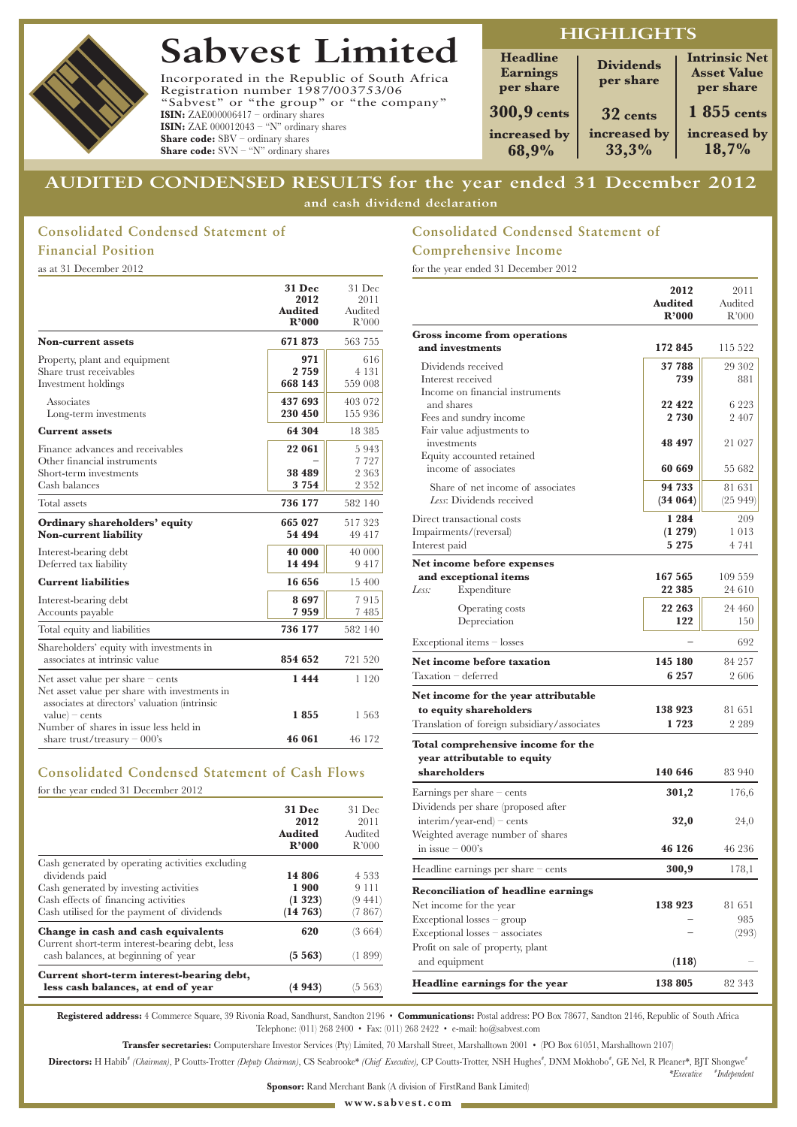

# **Sabvest Limited**

Incorporated in the Republic of South Africa Registration number 1987/003753/06 "Sabvest" or "the group" or "the company" **ISIN:** ZAE000006417 – ordinary shares **ISIN:** ZAE 000012043 – "N" ordinary shares **Share code:** SBV – ordinary shares **Share code:** SVN – "N" ordinary shares

# **HIGHLIGHTS**

| <b>Headline</b><br><b>Earnings</b><br>per share | <b>Dividends</b><br>per share | <b>Intrinsic Net</b><br><b>Asset Value</b><br>per share |
|-------------------------------------------------|-------------------------------|---------------------------------------------------------|
| <b>300,9 cents</b>                              | 32 cents                      | $1855$ cents                                            |
| increased by<br>68,9%                           | increased by<br>33,3%         | increased by<br>18,7%                                   |

# **AUDITED CONDENSED RESULTS for the year ended 31 December 2012 and cash dividend declaration**

# **Consolidated Condensed Statement of Financial Position**

as at 31 December 2012

|                                                                                                                                       | <b>31 Dec</b><br>2012<br><b>Audited</b><br>R'000 | 31 Dec<br>2011<br>Audited<br>R'000    |
|---------------------------------------------------------------------------------------------------------------------------------------|--------------------------------------------------|---------------------------------------|
| <b>Non-current assets</b>                                                                                                             | 671873                                           | 563 755                               |
| Property, plant and equipment<br>Share trust receivables<br>Investment holdings                                                       | 971<br>2759<br>668 143                           | 616<br>4 1 3 1<br>559 008             |
| Associates<br>Long-term investments                                                                                                   | 437 693<br>230 450                               | 403 072<br>155 936                    |
| <b>Current assets</b>                                                                                                                 | 64 304                                           | 18 385                                |
| Finance advances and receivables<br>Other financial instruments<br>Short-term investments<br>Cash balances                            | 22 061<br>38 489<br>3 7 5 4                      | 5943<br>7 7 2 7<br>2 3 6 3<br>2 3 5 2 |
| Total assets                                                                                                                          | 736 177                                          | 582 140                               |
| Ordinary shareholders' equity<br><b>Non-current liability</b>                                                                         | 665 027<br>54 494                                | 517323<br>49 417                      |
| Interest-bearing debt<br>Deferred tax liability                                                                                       | 40 000<br>14 494                                 | 40 000<br>9417                        |
| <b>Current liabilities</b>                                                                                                            | 16 656                                           | 15 400                                |
| Interest-bearing debt<br>Accounts payable                                                                                             | 8697<br>7959                                     | 7915<br>7485                          |
| Total equity and liabilities                                                                                                          | 736 177                                          | 582 140                               |
| Shareholders' equity with investments in<br>associates at intrinsic value                                                             | 854 652                                          | 721 520                               |
| Net asset value per share $-$ cents<br>Net asset value per share with investments in<br>associates at directors' valuation (intrinsic | 1444                                             | 1 1 2 0                               |
| $value$ – cents<br>Number of shares in issue less held in<br>share trust/treasury $-000$ 's                                           | 1855<br>46 061                                   | 1 563<br>46 172                       |

# **Consolidated Condensed Statement of Cash Flows**

for the year ended 31 December 2012

|                                                                                                                                                                                                    | 31 Dec<br>2012<br><b>Audited</b><br>R'000 | 31 Dec<br>2011<br>Audited<br>R'000    |
|----------------------------------------------------------------------------------------------------------------------------------------------------------------------------------------------------|-------------------------------------------|---------------------------------------|
| Cash generated by operating activities excluding<br>dividends paid<br>Cash generated by investing activities<br>Cash effects of financing activities<br>Cash utilised for the payment of dividends | 14 806<br>1 900<br>(1323)<br>(14763)      | 4.533<br>9 1 1 1<br>(9 441)<br>(7867) |
| Change in cash and cash equivalents<br>Current short-term interest-bearing debt, less<br>cash balances, at beginning of year                                                                       | 620<br>(5563)                             | (3 664)<br>(1 899)                    |
| Current short-term interest-bearing debt,<br>less cash balances, at end of year                                                                                                                    | (4 943)                                   | 5 563)                                |

# **Consolidated Condensed Statement of Comprehensive Income**

for the year ended 31 December 2012

|                                               | 2012               | 2011             |
|-----------------------------------------------|--------------------|------------------|
|                                               | Audited<br>R'000   | Audited<br>R'000 |
| <b>Gross income from operations</b>           |                    |                  |
| and investments                               | 172 845            | 115 522          |
| Dividends received                            | 37 788             | 29 302           |
| Interest received                             | 739                | 881              |
| Income on financial instruments<br>and shares | 22 4 22            | 6 223            |
| Fees and sundry income                        | 2 730              | 2407             |
| Fair value adjustments to                     |                    |                  |
| investments                                   | 48 497             | 21 027           |
| Equity accounted retained                     |                    |                  |
| income of associates                          | 60 669             | 55 682           |
| Share of net income of associates             | 94 733             | 81 631           |
| Less: Dividends received                      | (34064)            | (25949)          |
| Direct transactional costs                    | 1 2 8 4            | 209              |
| Impairments/(reversal)<br>Interest paid       | (1 279)<br>5 2 7 5 | 1013<br>4 741    |
|                                               |                    |                  |
| Net income before expenses                    | 167 565            | 109 559          |
| and exceptional items<br>Less:<br>Expenditure | 22 3 8 5           | 24 610           |
|                                               | 22 263             | 24 460           |
| Operating costs<br>Depreciation               | 122                | 150              |
|                                               |                    |                  |
| Exceptional items – losses                    |                    | 692              |
| Net income before taxation                    | 145 180            | 84 257           |
| Taxation - deferred                           | 6 2 5 7            | 2 606            |
| Net income for the year attributable          |                    |                  |
| to equity shareholders                        | 138 923            | 81651            |
| Translation of foreign subsidiary/associates  | 1723               | 2 289            |
| Total comprehensive income for the            |                    |                  |
| year attributable to equity                   |                    |                  |
| shareholders                                  | 140 646            | 83 940           |
| Earnings per share - cents                    | 301,2              | 176,6            |
| Dividends per share (proposed after           |                    |                  |
| $interim/year-end$ – cents                    | 32,0               | 24,0             |
| Weighted average number of shares             |                    |                  |
| in issue $-000$ 's                            | 46 126             | 46 236           |
| Headline earnings per share $-$ cents         | 300,9              | 178,1            |
| <b>Reconciliation of headline earnings</b>    |                    |                  |
| Net income for the year                       | 138 923            | 81 651           |
| $Exceptional losses - group$                  |                    | 985              |
| Exceptional losses - associates               |                    | (293)            |
| Profit on sale of property, plant             |                    |                  |
| and equipment                                 | (118)              |                  |
| Headline earnings for the year                | 138 805            | 82 343           |

*\*Executive* **#** *Independent*

**Registered address:** 4 Commerce Square, 39 Rivonia Road, Sandhurst, Sandton 2196 • **Communications:** Postal address: PO Box 78677, Sandton 2146, Republic of South Africa Telephone: (011) 268 2400 • Fax: (011) 268 2422 • e-mail: ho@sabvest.com

**Transfer secretaries:** Computershare Investor Services (Pty) Limited, 70 Marshall Street, Marshalltown 2001 • (PO Box 61051, Marshalltown 2107)

Directors: H Habib<sup>\*</sup> (Chairman), P Coutts-Trotter (Deputy Chairman), CS Seabrooke\* (Chief Executive), CP Coutts-Trotter, NSH Hughes<sup>\*</sup>, DNM Mokhobo<sup>\*</sup>, GE Nel, R Pleaner\*, BJT Shongwe\*

**Sponsor:** Rand Merchant Bank (A division of FirstRand Bank Limited)

**www.sabvest.com**